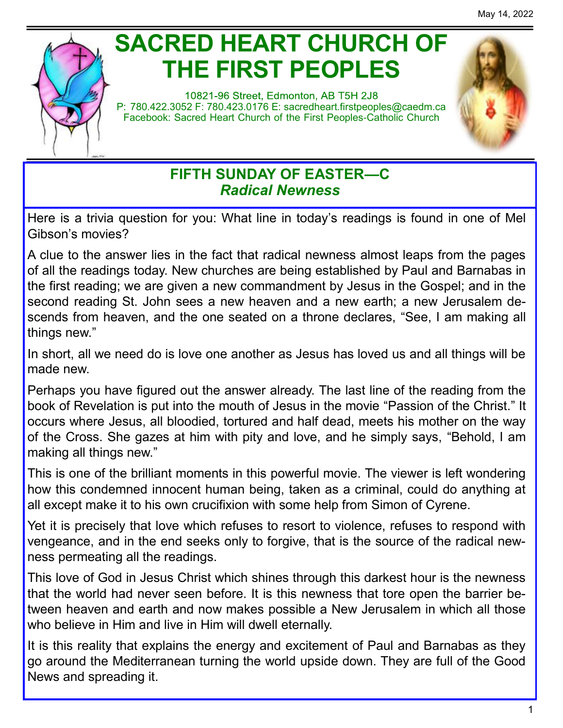

# **SACRED HEART CHURCH OF THE FIRST PEOPLES**

10821-96 Street, Edmonton, AB T5H 2J8 P: 780.422.3052 F: 780.423.0176 E: [sacredheart.](mailto:sacredheart.firstpeoples@caedm.ca)firstpeoples@caedm.ca Facebook: Sacred Heart Church of the First Peoples-Catholic Church



# **FIFTH SUNDAY OF EASTER—C** *Radical Newness*

Here is a trivia question for you: What line in today's readings is found in one of Mel Gibson's movies?

A clue to the answer lies in the fact that radical newness almost leaps from the pages of all the readings today. New churches are being established by Paul and Barnabas in the first reading; we are given a new commandment by Jesus in the Gospel; and in the second reading St. John sees a new heaven and a new earth; a new Jerusalem descends from heaven, and the one seated on a throne declares, "See, I am making all things new."

In short, all we need do is love one another as Jesus has loved us and all things will be made new.

Perhaps you have figured out the answer already. The last line of the reading from the book of Revelation is put into the mouth of Jesus in the movie "Passion of the Christ." It occurs where Jesus, all bloodied, tortured and half dead, meets his mother on the way of the Cross. She gazes at him with pity and love, and he simply says, "Behold, I am making all things new."

This is one of the brilliant moments in this powerful movie. The viewer is left wondering how this condemned innocent human being, taken as a criminal, could do anything at all except make it to his own crucifixion with some help from Simon of Cyrene.

Yet it is precisely that love which refuses to resort to violence, refuses to respond with vengeance, and in the end seeks only to forgive, that is the source of the radical newness permeating all the readings.

This love of God in Jesus Christ which shines through this darkest hour is the newness that the world had never seen before. It is this newness that tore open the barrier between heaven and earth and now makes possible a New Jerusalem in which all those who believe in Him and live in Him will dwell eternally.

It is this reality that explains the energy and excitement of Paul and Barnabas as they go around the Mediterranean turning the world upside down. They are full of the Good News and spreading it.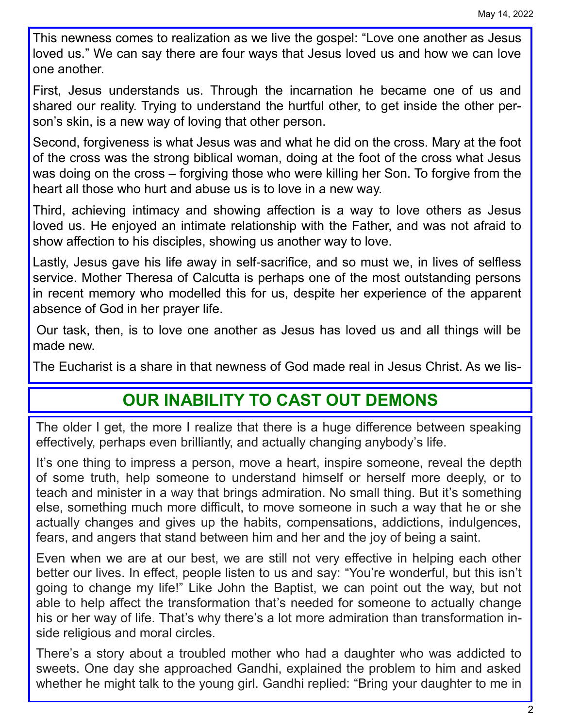This newness comes to realization as we live the gospel: "Love one another as Jesus loved us." We can say there are four ways that Jesus loved us and how we can love one another.

First, Jesus understands us. Through the incarnation he became one of us and shared our reality. Trying to understand the hurtful other, to get inside the other person's skin, is a new way of loving that other person.

Second, forgiveness is what Jesus was and what he did on the cross. Mary at the foot of the cross was the strong biblical woman, doing at the foot of the cross what Jesus was doing on the cross – forgiving those who were killing her Son. To forgive from the heart all those who hurt and abuse us is to love in a new way.

Third, achieving intimacy and showing affection is a way to love others as Jesus loved us. He enjoyed an intimate relationship with the Father, and was not afraid to show affection to his disciples, showing us another way to love.

Lastly, Jesus gave his life away in self-sacrifice, and so must we, in lives of selfless service. Mother Theresa of Calcutta is perhaps one of the most outstanding persons in recent memory who modelled this for us, despite her experience of the apparent absence of God in her prayer life.

Our task, then, is to love one another as Jesus has loved us and all things will be made new.

The Eucharist is a share in that newness of God made real in Jesus Christ. As we lis-

# **OUR INABILITY TO CAST OUT DEMONS**

The older I get, the more I realize that there is a huge difference between speaking effectively, perhaps even brilliantly, and actually changing anybody's life.

It's one thing to impress a person, move a heart, inspire someone, reveal the depth of some truth, help someone to understand himself or herself more deeply, or to teach and minister in a way that brings admiration. No small thing. But it's something else, something much more difficult, to move someone in such a way that he or she actually changes and gives up the habits, compensations, addictions, indulgences, fears, and angers that stand between him and her and the joy of being a saint.

Even when we are at our best, we are still not very effective in helping each other better our lives. In effect, people listen to us and say: "You're wonderful, but this isn't going to change my life!" Like John the Baptist, we can point out the way, but not able to help affect the transformation that's needed for someone to actually change his or her way of life. That's why there's a lot more admiration than transformation inside religious and moral circles.

There's a story about a troubled mother who had a daughter who was addicted to sweets. One day she approached Gandhi, explained the problem to him and asked whether he might talk to the young girl. Gandhi replied: "Bring your daughter to me in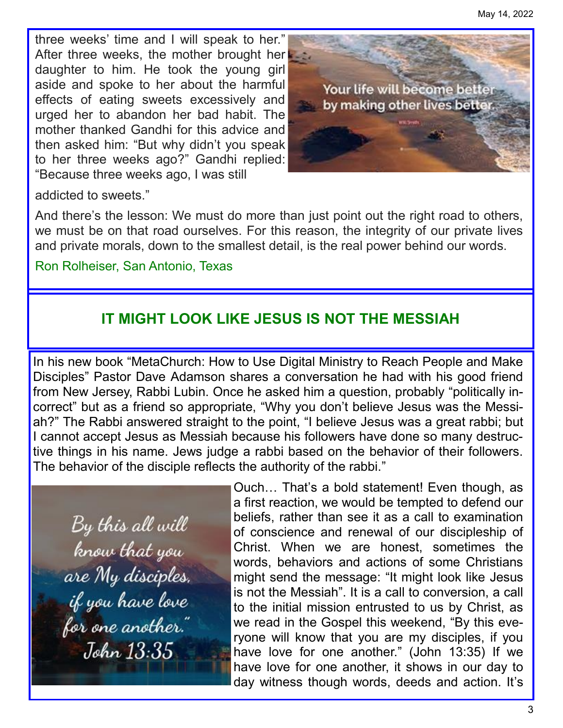three weeks' time and I will speak to her." After three weeks, the mother brought here to daughter to him. He took the young girl aside and spoke to her about the harmful effects of eating sweets excessively and urged her to abandon her bad habit. The mother thanked Gandhi for this advice and then asked him: "But why didn't you speak to her three weeks ago?" Gandhi replied: "Because three weeks ago, I was still



addicted to sweets."

And there's the lesson: We must do more than just point out the right road to others, we must be on that road ourselves. For this reason, the integrity of our private lives and private morals, down to the smallest detail, is the real power behind our words.

## Ron Rolheiser, San Antonio, Texas

# **IT MIGHT LOOK LIKE JESUS IS NOT THE MESSIAH**

In his new book "MetaChurch: How to Use Digital Ministry to Reach People and Make Disciples" Pastor Dave Adamson shares a conversation he had with his good friend from New Jersey, Rabbi Lubin. Once he asked him a question, probably "politically incorrect" but as a friend so appropriate, "Why you don't believe Jesus was the Messiah?" The Rabbi answered straight to the point, "I believe Jesus was a great rabbi; but I cannot accept Jesus as Messiah because his followers have done so many destructive things in his name. Jews judge a rabbi based on the behavior of their followers. The behavior of the disciple reflects the authority of the rabbi."

By this all will know that you are My disciples. if you have love<br>for one another." John 13:35

Ouch… That's a bold statement! Even though, as a first reaction, we would be tempted to defend our beliefs, rather than see it as a call to examination of conscience and renewal of our discipleship of Christ. When we are honest, sometimes the words, behaviors and actions of some Christians might send the message: "It might look like Jesus is not the Messiah". It is a call to conversion, a call to the initial mission entrusted to us by Christ, as we read in the Gospel this weekend, "By this everyone will know that you are my disciples, if you have love for one another." (John 13:35) If we have love for one another, it shows in our day to day witness though words, deeds and action. It's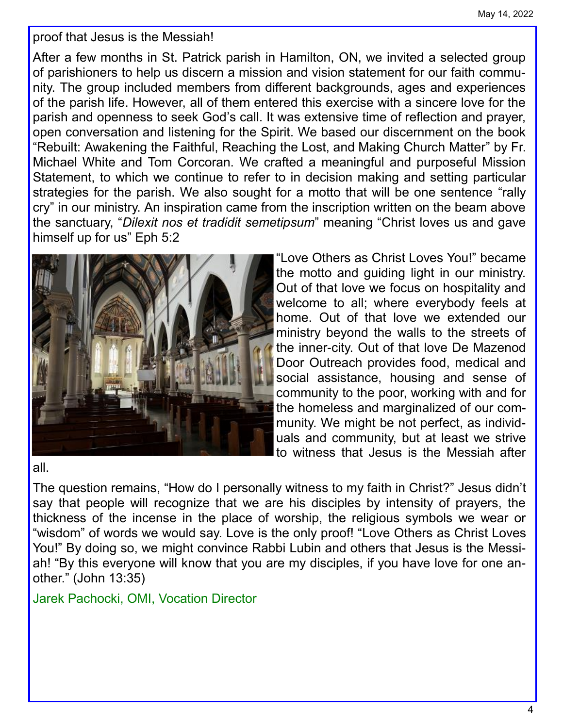proof that Jesus is the Messiah!

After a few months in St. Patrick parish in Hamilton, ON, we invited a selected group of parishioners to help us discern a mission and vision statement for our faith community. The group included members from different backgrounds, ages and experiences of the parish life. However, all of them entered this exercise with a sincere love for the parish and openness to seek God's call. It was extensive time of reflection and prayer, open conversation and listening for the Spirit. We based our discernment on the book "Rebuilt: Awakening the Faithful, Reaching the Lost, and Making Church Matter" by Fr. Michael White and Tom Corcoran. We crafted a meaningful and purposeful Mission Statement, to which we continue to refer to in decision making and setting particular strategies for the parish. We also sought for a motto that will be one sentence "rally cry" in our ministry. An inspiration came from the inscription written on the beam above the sanctuary, "*Dilexit nos et tradidit semetipsum*" meaning "Christ loves us and gave himself up for us" Eph 5:2



"Love Others as Christ Loves You!" became the motto and guiding light in our ministry. Out of that love we focus on hospitality and welcome to all; where everybody feels at home. Out of that love we extended our ministry beyond the walls to the streets of the inner-city. Out of that love De Mazenod Door Outreach provides food, medical and social assistance, housing and sense of community to the poor, working with and for the homeless and marginalized of our community. We might be not perfect, as individuals and community, but at least we strive to witness that Jesus is the Messiah after

#### all.

The question remains, "How do I personally witness to my faith in Christ?" Jesus didn't say that people will recognize that we are his disciples by intensity of prayers, the thickness of the incense in the place of worship, the religious symbols we wear or "wisdom" of words we would say. Love is the only proof! "Love Others as Christ Loves You!" By doing so, we might convince Rabbi Lubin and others that Jesus is the Messiah! "By this everyone will know that you are my disciples, if you have love for one another." (John 13:35)

Jarek Pachocki, OMI, Vocation Director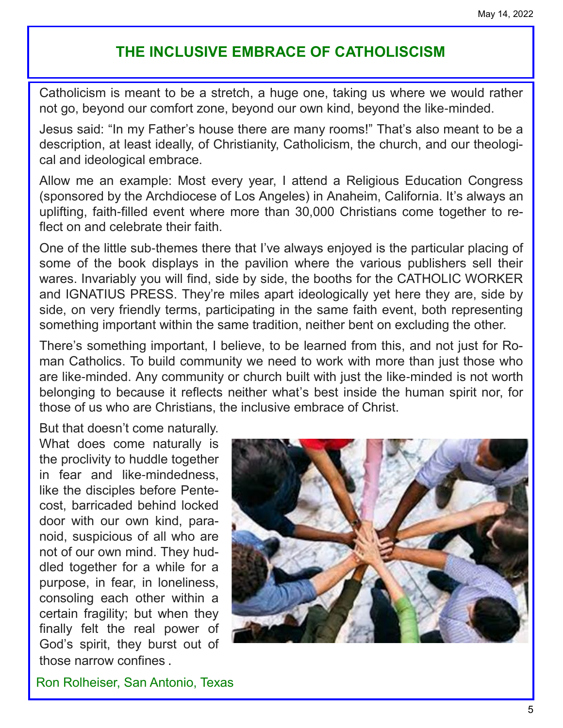# **THE INCLUSIVE EMBRACE OF CATHOLISCISM**

Catholicism is meant to be a stretch, a huge one, taking us where we would rather not go, beyond our comfort zone, beyond our own kind, beyond the like-minded.

Jesus said: "In my Father's house there are many rooms!" That's also meant to be a description, at least ideally, of Christianity, Catholicism, the church, and our theological and ideological embrace.

Allow me an example: Most every year, I attend a Religious Education Congress (sponsored by the Archdiocese of Los Angeles) in Anaheim, California. It's always an uplifting, faith-filled event where more than 30,000 Christians come together to reflect on and celebrate their faith.

One of the little sub-themes there that I've always enjoyed is the particular placing of some of the book displays in the pavilion where the various publishers sell their wares. Invariably you will find, side by side, the booths for the CATHOLIC WORKER and IGNATIUS PRESS. They're miles apart ideologically yet here they are, side by side, on very friendly terms, participating in the same faith event, both representing something important within the same tradition, neither bent on excluding the other.

There's something important, I believe, to be learned from this, and not just for Roman Catholics. To build community we need to work with more than just those who are like-minded. Any community or church built with just the like-minded is not worth belonging to because it reflects neither what's best inside the human spirit nor, for those of us who are Christians, the inclusive embrace of Christ.

But that doesn't come naturally. What does come naturally is the proclivity to huddle together in fear and like-mindedness, like the disciples before Pentecost, barricaded behind locked door with our own kind, paranoid, suspicious of all who are not of our own mind. They huddled together for a while for a purpose, in fear, in loneliness, consoling each other within a certain fragility; but when they finally felt the real power of God's spirit, they burst out of those narrow confines .



Ron Rolheiser, San Antonio, Texas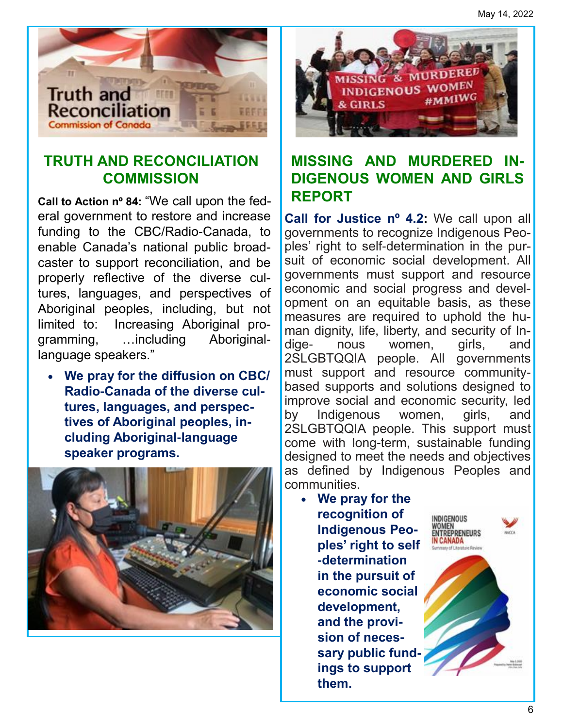

# **TRUTH AND RECONCILIATION COMMISSION**

**Call to Action nº 84:** "We call upon the federal government to restore and increase funding to the CBC/Radio-Canada, to enable Canada's national public broadcaster to support reconciliation, and be properly reflective of the diverse cultures, languages, and perspectives of Aboriginal peoples, including, but not limited to: Increasing Aboriginal programming, …including Aboriginallanguage speakers."

• **We pray for the diffusion on CBC/ Radio-Canada of the diverse cultures, languages, and perspectives of Aboriginal peoples, including Aboriginal-language speaker programs.**





# **MISSING AND MURDERED IN-DIGENOUS WOMEN AND GIRLS REPORT**

**Call for Justice nº 4.2:** We call upon all governments to recognize Indigenous Peoples' right to self-determination in the pursuit of economic social development. All governments must support and resource economic and social progress and development on an equitable basis, as these measures are required to uphold the human dignity, life, liberty, and security of Indige- nous women, girls, and 2SLGBTQQIA people. All governments must support and resource communitybased supports and solutions designed to improve social and economic security, led by Indigenous women, girls, and 2SLGBTQQIA people. This support must come with long-term, sustainable funding designed to meet the needs and objectives as defined by Indigenous Peoples and communities.

• **We pray for the recognition of Indigenous Peoples' right to self -determination in the pursuit of economic social development, and the provision of necessary public fundings to support them.** 



NDIGENOUS **OMEN**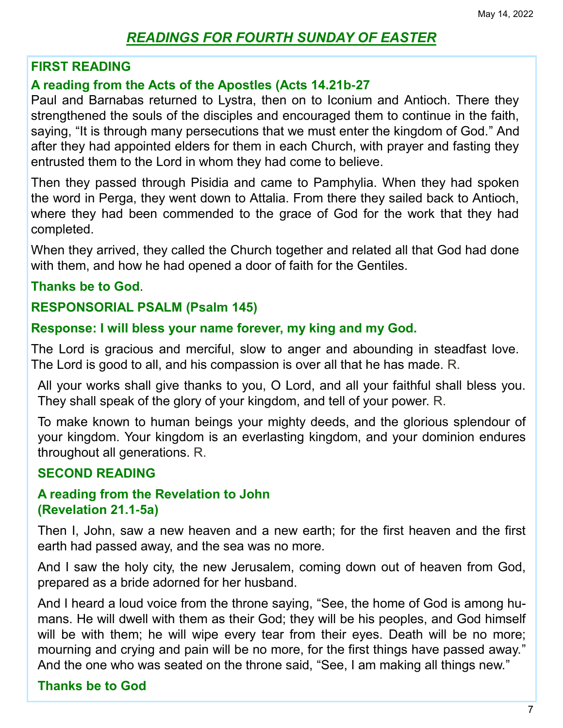# *READINGS FOR FOURTH SUNDAY OF EASTER*

## **FIRST READING**

## **A reading from the Acts of the Apostles (Acts 14.21b-27**

Paul and Barnabas returned to Lystra, then on to Iconium and Antioch. There they strengthened the souls of the disciples and encouraged them to continue in the faith, saying, "It is through many persecutions that we must enter the kingdom of God." And after they had appointed elders for them in each Church, with prayer and fasting they entrusted them to the Lord in whom they had come to believe.

Then they passed through Pisidia and came to Pamphylia. When they had spoken the word in Perga, they went down to Attalia. From there they sailed back to Antioch, where they had been commended to the grace of God for the work that they had completed.

When they arrived, they called the Church together and related all that God had done with them, and how he had opened a door of faith for the Gentiles.

## **Thanks be to God**.

## **RESPONSORIAL PSALM (Psalm 145)**

## **Response: I will bless your name forever, my king and my God.**

The Lord is gracious and merciful, slow to anger and abounding in steadfast love. The Lord is good to all, and his compassion is over all that he has made. R.

All your works shall give thanks to you, O Lord, and all your faithful shall bless you. They shall speak of the glory of your kingdom, and tell of your power. R.

To make known to human beings your mighty deeds, and the glorious splendour of your kingdom. Your kingdom is an everlasting kingdom, and your dominion endures throughout all generations. R.

## **SECOND READING**

## **A reading from the Revelation to John (Revelation 21.1-5a)**

Then I, John, saw a new heaven and a new earth; for the first heaven and the first earth had passed away, and the sea was no more.

And I saw the holy city, the new Jerusalem, coming down out of heaven from God, prepared as a bride adorned for her husband.

And I heard a loud voice from the throne saying, "See, the home of God is among humans. He will dwell with them as their God; they will be his peoples, and God himself will be with them; he will wipe every tear from their eyes. Death will be no more; mourning and crying and pain will be no more, for the first things have passed away." And the one who was seated on the throne said, "See, I am making all things new."

# **Thanks be to God**